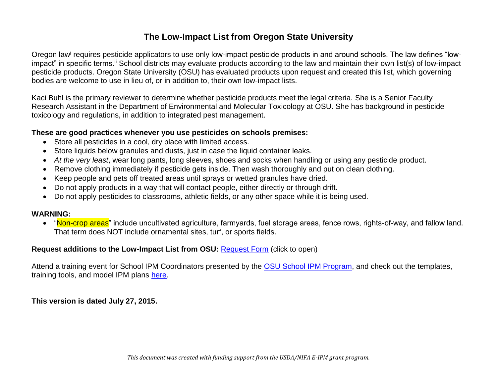### **The Low-Impact List from Oregon State University**

Oregon law<sup>i</sup> requires pesticide applicators to use only low-impact pesticide products in and around schools. The law defines "lowimpact" in specific terms.<sup>ii</sup> School districts may evaluate products according to the law and maintain their own list(s) of low-impact pesticide products. Oregon State University (OSU) has evaluated products upon request and created this list, which governing bodies are welcome to use in lieu of, or in addition to, their own low-impact lists.

Kaci Buhl is the primary reviewer to determine whether pesticide products meet the legal criteria. She is a Senior Faculty Research Assistant in the Department of Environmental and Molecular Toxicology at OSU. She has background in pesticide toxicology and regulations, in addition to integrated pest management.

#### **These are good practices whenever you use pesticides on schools premises:**

- Store all pesticides in a cool, dry place with limited access.
- Store liquids below granules and dusts, just in case the liquid container leaks.
- *At the very least*, wear long pants, long sleeves, shoes and socks when handling or using any pesticide product.
- Remove clothing immediately if pesticide gets inside. Then wash thoroughly and put on clean clothing.
- Keep people and pets off treated areas until sprays or wetted granules have dried.
- Do not apply products in a way that will contact people, either directly or through drift.
- Do not apply pesticides to classrooms, athletic fields, or any other space while it is being used.

#### **WARNING:**

• "Non-crop areas" include uncultivated agriculture, farmyards, fuel storage areas, fence rows, rights-of-way, and fallow land. That term does NOT include ornamental sites, turf, or sports fields.

#### **Request additions to the Low-Impact List from OSU:** [Request Form](https://docs.google.com/forms/d/1Bm3GTD4aO0RP_TKfuocYtBYcZQlo_x9583MO_hg1SjY/viewform) (click to open)

Attend a training event for School IPM Coordinators presented by the [OSU School IPM Program,](http://www.ipmnet.org/Tim/IPM_in_Schools/IPM_in_Schools-Main_Page.html) and check out the templates, training tools, and model IPM plans [here.](http://www.ipmnet.org/Tim/IPM_in_Schools/IPM_Materials.html)

**This version is dated July 27, 2015.**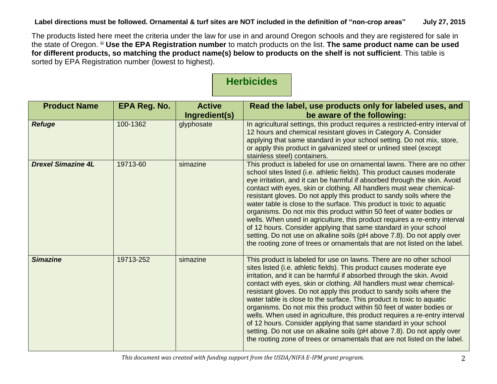The products listed here meet the criteria under the law for use in and around Oregon schools and they are registered for sale in the state of Oregon. iii **Use the EPA Registration number** to match products on the list. **The same product name can be used for different products, so matching the product name(s) below to products on the shelf is not sufficient**. This table is sorted by EPA Registration number (lowest to highest).

## **Herbicides**

| <b>Product Name</b>       | <b>EPA Reg. No.</b> | <b>Active</b><br>Ingredient(s) | Read the label, use products only for labeled uses, and<br>be aware of the following:                                                                                                                                                                                                                                                                                                                                                                                                                                                                                                                                                                                                                                                                                                                                                         |
|---------------------------|---------------------|--------------------------------|-----------------------------------------------------------------------------------------------------------------------------------------------------------------------------------------------------------------------------------------------------------------------------------------------------------------------------------------------------------------------------------------------------------------------------------------------------------------------------------------------------------------------------------------------------------------------------------------------------------------------------------------------------------------------------------------------------------------------------------------------------------------------------------------------------------------------------------------------|
| <b>Refuge</b>             | 100-1362            | glyphosate                     | In agricultural settings, this product requires a restricted-entry interval of<br>12 hours and chemical resistant gloves in Category A. Consider<br>applying that same standard in your school setting. Do not mix, store,<br>or apply this product in galvanized steel or unlined steel (except<br>stainless steel) containers.                                                                                                                                                                                                                                                                                                                                                                                                                                                                                                              |
| <b>Drexel Simazine 4L</b> | 19713-60            | simazine                       | This product is labeled for use on ornamental lawns. There are no other<br>school sites listed (i.e. athletic fields). This product causes moderate<br>eye irritation, and it can be harmful if absorbed through the skin. Avoid<br>contact with eyes, skin or clothing. All handlers must wear chemical-<br>resistant gloves. Do not apply this product to sandy soils where the<br>water table is close to the surface. This product is toxic to aquatic<br>organisms. Do not mix this product within 50 feet of water bodies or<br>wells. When used in agriculture, this product requires a re-entry interval<br>of 12 hours. Consider applying that same standard in your school<br>setting. Do not use on alkaline soils (pH above 7.8). Do not apply over<br>the rooting zone of trees or ornamentals that are not listed on the label. |
| <b>Simazine</b>           | 19713-252           | simazine                       | This product is labeled for use on lawns. There are no other school<br>sites listed (i.e. athletic fields). This product causes moderate eye<br>irritation, and it can be harmful if absorbed through the skin. Avoid<br>contact with eyes, skin or clothing. All handlers must wear chemical-<br>resistant gloves. Do not apply this product to sandy soils where the<br>water table is close to the surface. This product is toxic to aquatic<br>organisms. Do not mix this product within 50 feet of water bodies or<br>wells. When used in agriculture, this product requires a re-entry interval<br>of 12 hours. Consider applying that same standard in your school<br>setting. Do not use on alkaline soils (pH above 7.8). Do not apply over<br>the rooting zone of trees or ornamentals that are not listed on the label.            |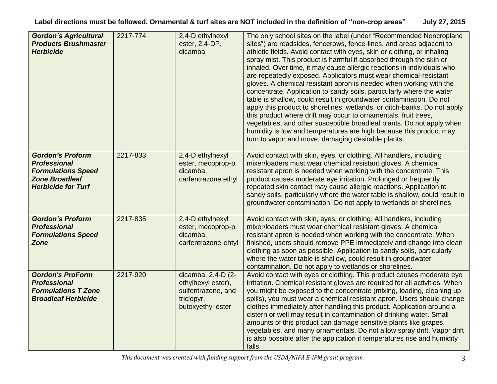**Label directions must be followed. Ornamental & turf sites are NOT included in the definition of "non-crop areas" July 27, 2015**

| <b>Gordon's Agricultural</b><br><b>Products Brushmaster</b><br><b>Herbicide</b>                                                   | 2217-774 | 2,4-D ethylhexyl<br>ester, 2,4-DP,<br>dicamba                                                     | The only school sites on the label (under "Recommended Noncropland<br>sites") are roadsides, fencerows, fence-lines, and areas adjacent to<br>athletic fields. Avoid contact with eyes, skin or clothing, or inhaling<br>spray mist. This product is harmful if absorbed through the skin or<br>inhaled. Over time, it may cause allergic reactions in individuals who<br>are repeatedly exposed. Applicators must wear chemical-resistant<br>gloves. A chemical resistant apron is needed when working with the<br>concentrate. Application to sandy soils, particularly where the water<br>table is shallow, could result in groundwater contamination. Do not<br>apply this product to shorelines, wetlands, or ditch-banks. Do not apply<br>this product where drift may occur to ornamentals, fruit trees,<br>vegetables, and other susceptible broadleaf plants. Do not apply when<br>humidity is low and temperatures are high because this product may<br>turn to vapor and move, damaging desirable plants. |
|-----------------------------------------------------------------------------------------------------------------------------------|----------|---------------------------------------------------------------------------------------------------|----------------------------------------------------------------------------------------------------------------------------------------------------------------------------------------------------------------------------------------------------------------------------------------------------------------------------------------------------------------------------------------------------------------------------------------------------------------------------------------------------------------------------------------------------------------------------------------------------------------------------------------------------------------------------------------------------------------------------------------------------------------------------------------------------------------------------------------------------------------------------------------------------------------------------------------------------------------------------------------------------------------------|
| <b>Gordon's Proform</b><br><b>Professional</b><br><b>Formulations Speed</b><br><b>Zone Broadleaf</b><br><b>Herbicide for Turf</b> | 2217-833 | 2,4-D ethylhexyl<br>ester, mecoprop-p,<br>dicamba,<br>carfentrazone ethyl                         | Avoid contact with skin, eyes, or clothing. All handlers, including<br>mixer/loaders must wear chemical resistant gloves. A chemical<br>resistant apron is needed when working with the concentrate. This<br>product causes moderate eye irritation. Prolonged or frequently<br>repeated skin contact may cause allergic reactions. Application to<br>sandy soils, particularly where the water table is shallow, could result in<br>groundwater contamination. Do not apply to wetlands or shorelines.                                                                                                                                                                                                                                                                                                                                                                                                                                                                                                              |
| <b>Gordon's Proform</b><br><b>Professional</b><br><b>Formulations Speed</b><br><b>Zone</b>                                        | 2217-835 | 2,4-D ethylhexyl<br>ester, mecoprop-p,<br>dicamba,<br>carfentrazone-ehtyl                         | Avoid contact with skin, eyes, or clothing. All handlers, including<br>mixer/loaders must wear chemical resistant gloves. A chemical<br>resistant apron is needed when working with the concentrate. When<br>finished, users should remove PPE immediately and change into clean<br>clothing as soon as possible. Application to sandy soils, particularly<br>where the water table is shallow, could result in groundwater<br>contamination. Do not apply to wetlands or shorelines.                                                                                                                                                                                                                                                                                                                                                                                                                                                                                                                                |
| <b>Gordon's ProForm</b><br><b>Professional</b><br><b>Formulations T Zone</b><br><b>Broadleaf Herbicide</b>                        | 2217-920 | dicamba, 2,4-D (2-<br>ethylhexyl ester),<br>sulfentrazone, and<br>triclopyr,<br>butoxyethyl ester | Avoid contact with eyes or clothing. This product causes moderate eye<br>irritation. Chemical resistant gloves are required for all activities. When<br>you might be exposed to the concentrate (mixing, loading, cleaning up<br>spills), you must wear a chemical resistant apron. Users should change<br>clothes immediately after handling this product. Application around a<br>cistern or well may result in contamination of drinking water. Small<br>amounts of this product can damage sensitive plants like grapes,<br>vegetables, and many ornamentals. Do not allow spray drift. Vapor drift<br>is also possible after the application if temperatures rise and humidity<br>falls.                                                                                                                                                                                                                                                                                                                        |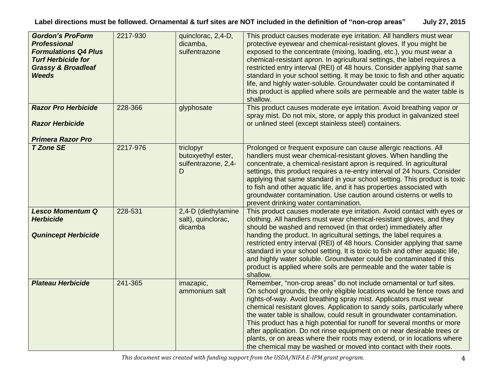| <b>Gordon's ProForm</b><br><b>Professional</b><br><b>Formulations Q4 Plus</b><br><b>Turf Herbicide for</b><br><b>Grassy &amp; Broadleaf</b><br><b>Weeds</b> | 2217-930 | quinclorac, 2,4-D,<br>dicamba,<br>sulfentrazone             | This product causes moderate eye irritation. All handlers must wear<br>protective eyewear and chemical-resistant gloves. If you might be<br>exposed to the concentrate (mixing, loading, etc.), you must wear a<br>chemical-resistant apron. In agricultural settings, the label requires a<br>restricted entry interval (REI) of 48 hours. Consider applying that same<br>standard in your school setting. It may be toxic to fish and other aquatic<br>life, and highly water-soluble. Groundwater could be contaminated if<br>this product is applied where soils are permeable and the water table is<br>shallow.                                                           |
|-------------------------------------------------------------------------------------------------------------------------------------------------------------|----------|-------------------------------------------------------------|---------------------------------------------------------------------------------------------------------------------------------------------------------------------------------------------------------------------------------------------------------------------------------------------------------------------------------------------------------------------------------------------------------------------------------------------------------------------------------------------------------------------------------------------------------------------------------------------------------------------------------------------------------------------------------|
| <b>Razor Pro Herbicide</b><br><b>Razor Herbicide</b><br><b>Primera Razor Pro</b>                                                                            | 228-366  | glyphosate                                                  | This product causes moderate eye irritation. Avoid breathing vapor or<br>spray mist. Do not mix, store, or apply this product in galvanized steel<br>or unlined steel (except stainless steel) containers.                                                                                                                                                                                                                                                                                                                                                                                                                                                                      |
| <b>T Zone SE</b>                                                                                                                                            | 2217-976 | triclopyr<br>butoxyethyl ester,<br>sulfentrazone, 2,4-<br>D | Prolonged or frequent exposure can cause allergic reactions. All<br>handlers must wear chemical-resistant gloves. When handling the<br>concentrate, a chemical-resistant apron is required. In agricultural<br>settings, this product requires a re-entry interval of 24 hours. Consider<br>applying that same standard in your school setting. This product is toxic<br>to fish and other aquatic life, and it has properties associated with<br>groundwater contamination. Use caution around cisterns or wells to<br>prevent drinking water contamination.                                                                                                                   |
| <b>Lesco Momentum Q</b><br><b>Herbicide</b><br><b>Qunincept Herbicide</b>                                                                                   | 228-531  | 2,4-D (diethylamine<br>salt), quinclorac,<br>dicamba        | This product causes moderate eye irritation. Avoid contact with eyes or<br>clothing. All handlers must wear chemical-resistant gloves, and they<br>should be washed and removed (in that order) immediately after<br>handing the product. In agricultural settings, the label requires a<br>restricted entry interval (REI) of 48 hours. Consider applying that same<br>standard in your school setting. It is toxic to fish and other aquatic life,<br>and highly water soluble. Groundwater could be contaminated if this<br>product is applied where soils are permeable and the water table is<br>shallow.                                                                  |
| <b>Plateau Herbicide</b>                                                                                                                                    | 241-365  | imazapic,<br>ammonium salt                                  | Remember, "non-crop areas" do not include ornamental or turf sites.<br>On school grounds, the only eligible locations would be fence rows and<br>rights-of-way. Avoid breathing spray mist. Applicators must wear<br>chemical resistant gloves. Application to sandy soils, particularly where<br>the water table is shallow, could result in groundwater contamination.<br>This product has a high potential for runoff for several months or more<br>after application. Do not rinse equipment on or near desirable trees or<br>plants, or on areas where their roots may extend, or in locations where<br>the chemical may be washed or moved into contact with their roots. |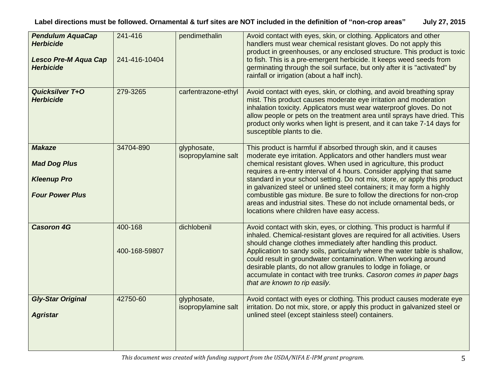| <b>Pendulum AquaCap</b><br><b>Herbicide</b><br><b>Lesco Pre-M Aqua Cap</b><br><b>Herbicide</b> | 241-416<br>241-416-10404 | pendimethalin                      | Avoid contact with eyes, skin, or clothing. Applicators and other<br>handlers must wear chemical resistant gloves. Do not apply this<br>product in greenhouses, or any enclosed structure. This product is toxic<br>to fish. This is a pre-emergent herbicide. It keeps weed seeds from<br>germinating through the soil surface, but only after it is "activated" by<br>rainfall or irrigation (about a half inch).                                                                                                                                                                                                                     |
|------------------------------------------------------------------------------------------------|--------------------------|------------------------------------|-----------------------------------------------------------------------------------------------------------------------------------------------------------------------------------------------------------------------------------------------------------------------------------------------------------------------------------------------------------------------------------------------------------------------------------------------------------------------------------------------------------------------------------------------------------------------------------------------------------------------------------------|
| <b>Quicksilver T+O</b><br><b>Herbicide</b>                                                     | 279-3265                 | carfentrazone-ethyl                | Avoid contact with eyes, skin, or clothing, and avoid breathing spray<br>mist. This product causes moderate eye irritation and moderation<br>inhalation toxicity. Applicators must wear waterproof gloves. Do not<br>allow people or pets on the treatment area until sprays have dried. This<br>product only works when light is present, and it can take 7-14 days for<br>susceptible plants to die.                                                                                                                                                                                                                                  |
| <b>Makaze</b><br><b>Mad Dog Plus</b><br><b>Kleenup Pro</b><br><b>Four Power Plus</b>           | 34704-890                | glyphosate,<br>isopropylamine salt | This product is harmful if absorbed through skin, and it causes<br>moderate eye irritation. Applicators and other handlers must wear<br>chemical resistant gloves. When used in agriculture, this product<br>requires a re-entry interval of 4 hours. Consider applying that same<br>standard in your school setting. Do not mix, store, or apply this product<br>in galvanized steel or unlined steel containers; it may form a highly<br>combustible gas mixture. Be sure to follow the directions for non-crop<br>areas and industrial sites. These do not include ornamental beds, or<br>locations where children have easy access. |
| <b>Casoron 4G</b>                                                                              | 400-168<br>400-168-59807 | dichlobenil                        | Avoid contact with skin, eyes, or clothing. This product is harmful if<br>inhaled. Chemical-resistant gloves are required for all activities. Users<br>should change clothes immediately after handling this product.<br>Application to sandy soils, particularly where the water table is shallow,<br>could result in groundwater contamination. When working around<br>desirable plants, do not allow granules to lodge in foliage, or<br>accumulate in contact with tree trunks. Casoron comes in paper bags<br>that are known to rip easily.                                                                                        |
| <b>Gly-Star Original</b><br><b>Agristar</b>                                                    | 42750-60                 | glyphosate,<br>isopropylamine salt | Avoid contact with eyes or clothing. This product causes moderate eye<br>irritation. Do not mix, store, or apply this product in galvanized steel or<br>unlined steel (except stainless steel) containers.                                                                                                                                                                                                                                                                                                                                                                                                                              |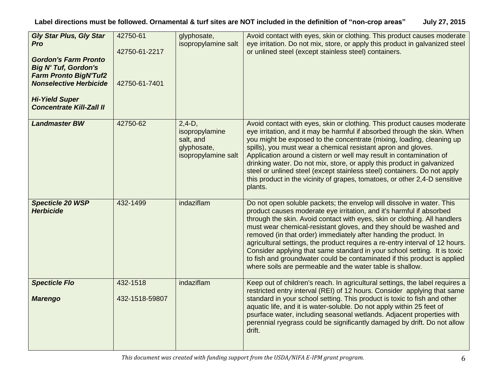| <b>Gly Star Plus, Gly Star</b><br>Pro<br><b>Gordon's Farm Pronto</b><br><b>Big N' Tuf, Gordon's</b><br><b>Farm Pronto BigN'Tuf2</b><br><b>Nonselective Herbicide</b><br><b>Hi-Yield Super</b><br><b>Concentrate Kill-Zall II</b> | 42750-61<br>42750-61-2217<br>42750-61-7401 | glyphosate,<br>isopropylamine salt                                            | Avoid contact with eyes, skin or clothing. This product causes moderate<br>eye irritation. Do not mix, store, or apply this product in galvanized steel<br>or unlined steel (except stainless steel) containers.                                                                                                                                                                                                                                                                                                                                                                                                                                                           |
|----------------------------------------------------------------------------------------------------------------------------------------------------------------------------------------------------------------------------------|--------------------------------------------|-------------------------------------------------------------------------------|----------------------------------------------------------------------------------------------------------------------------------------------------------------------------------------------------------------------------------------------------------------------------------------------------------------------------------------------------------------------------------------------------------------------------------------------------------------------------------------------------------------------------------------------------------------------------------------------------------------------------------------------------------------------------|
| <b>Landmaster BW</b>                                                                                                                                                                                                             | 42750-62                                   | $2,4-D,$<br>isopropylamine<br>salt, and<br>glyphosate,<br>isopropylamine salt | Avoid contact with eyes, skin or clothing. This product causes moderate<br>eye irritation, and it may be harmful if absorbed through the skin. When<br>you might be exposed to the concentrate (mixing, loading, cleaning up<br>spills), you must wear a chemical resistant apron and gloves.<br>Application around a cistern or well may result in contamination of<br>drinking water. Do not mix, store, or apply this product in galvanized<br>steel or unlined steel (except stainless steel) containers. Do not apply<br>this product in the vicinity of grapes, tomatoes, or other 2,4-D sensitive<br>plants.                                                        |
| <b>Specticle 20 WSP</b><br><b>Herbicide</b>                                                                                                                                                                                      | 432-1499                                   | indaziflam                                                                    | Do not open soluble packets; the envelop will dissolve in water. This<br>product causes moderate eye irritation, and it's harmful if absorbed<br>through the skin. Avoid contact with eyes, skin or clothing. All handlers<br>must wear chemical-resistant gloves, and they should be washed and<br>removed (in that order) immediately after handing the product. In<br>agricultural settings, the product requires a re-entry interval of 12 hours.<br>Consider applying that same standard in your school setting. It is toxic<br>to fish and groundwater could be contaminated if this product is applied<br>where soils are permeable and the water table is shallow. |
| <b>Specticle Flo</b><br><b>Marengo</b>                                                                                                                                                                                           | 432-1518<br>432-1518-59807                 | indaziflam                                                                    | Keep out of children's reach. In agricultural settings, the label requires a<br>restricted entry interval (REI) of 12 hours. Consider applying that same<br>standard in your school setting. This product is toxic to fish and other<br>aquatic life, and it is water-soluble. Do not apply within 25 feet of<br>psurface water, including seasonal wetlands. Adjacent properties with<br>perennial ryegrass could be significantly damaged by drift. Do not allow<br>drift.                                                                                                                                                                                               |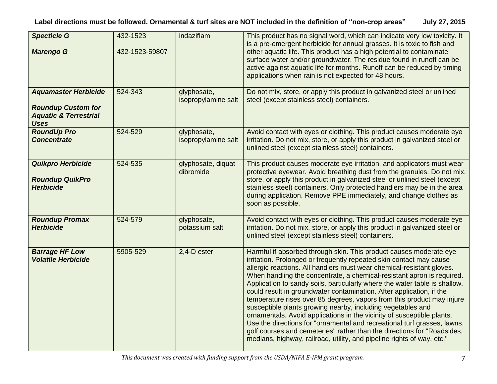| <b>Specticle G</b><br><b>Marengo G</b>                                                                      | 432-1523<br>432-1523-59807 | indaziflam                         | This product has no signal word, which can indicate very low toxicity. It<br>is a pre-emergent herbicide for annual grasses. It is toxic to fish and<br>other aquatic life. This product has a high potential to contaminate<br>surface water and/or groundwater. The residue found in runoff can be<br>active against aquatic life for months. Runoff can be reduced by timing<br>applications when rain is not expected for 48 hours.                                                                                                                                                                                                                                                                                                                                                                                                                                                                |
|-------------------------------------------------------------------------------------------------------------|----------------------------|------------------------------------|--------------------------------------------------------------------------------------------------------------------------------------------------------------------------------------------------------------------------------------------------------------------------------------------------------------------------------------------------------------------------------------------------------------------------------------------------------------------------------------------------------------------------------------------------------------------------------------------------------------------------------------------------------------------------------------------------------------------------------------------------------------------------------------------------------------------------------------------------------------------------------------------------------|
| <b>Aquamaster Herbicide</b><br><b>Roundup Custom for</b><br><b>Aquatic &amp; Terrestrial</b><br><b>Uses</b> | 524-343                    | glyphosate,<br>isopropylamine salt | Do not mix, store, or apply this product in galvanized steel or unlined<br>steel (except stainless steel) containers.                                                                                                                                                                                                                                                                                                                                                                                                                                                                                                                                                                                                                                                                                                                                                                                  |
| <b>RoundUp Pro</b><br><b>Concentrate</b>                                                                    | 524-529                    | glyphosate,<br>isopropylamine salt | Avoid contact with eyes or clothing. This product causes moderate eye<br>irritation. Do not mix, store, or apply this product in galvanized steel or<br>unlined steel (except stainless steel) containers.                                                                                                                                                                                                                                                                                                                                                                                                                                                                                                                                                                                                                                                                                             |
| <b>Quikpro Herbicide</b><br><b>Roundup QuikPro</b><br><b>Herbicide</b>                                      | 524-535                    | glyphosate, diquat<br>dibromide    | This product causes moderate eye irritation, and applicators must wear<br>protective eyewear. Avoid breathing dust from the granules. Do not mix,<br>store, or apply this product in galvanized steel or unlined steel (except<br>stainless steel) containers. Only protected handlers may be in the area<br>during application. Remove PPE immediately, and change clothes as<br>soon as possible.                                                                                                                                                                                                                                                                                                                                                                                                                                                                                                    |
| <b>Roundup Promax</b><br><b>Herbicide</b>                                                                   | 524-579                    | glyphosate,<br>potassium salt      | Avoid contact with eyes or clothing. This product causes moderate eye<br>irritation. Do not mix, store, or apply this product in galvanized steel or<br>unlined steel (except stainless steel) containers.                                                                                                                                                                                                                                                                                                                                                                                                                                                                                                                                                                                                                                                                                             |
| <b>Barrage HF Low</b><br><b>Volatile Herbicide</b>                                                          | 5905-529                   | 2,4-D ester                        | Harmful if absorbed through skin. This product causes moderate eye<br>irritation. Prolonged or frequently repeated skin contact may cause<br>allergic reactions. All handlers must wear chemical-resistant gloves.<br>When handling the concentrate, a chemical-resistant apron is required.<br>Application to sandy soils, particularly where the water table is shallow,<br>could result in groundwater contamination. After application, if the<br>temperature rises over 85 degrees, vapors from this product may injure<br>susceptible plants growing nearby, including vegetables and<br>ornamentals. Avoid applications in the vicinity of susceptible plants.<br>Use the directions for "ornamental and recreational turf grasses, lawns,<br>golf courses and cemeteries" rather than the directions for "Roadsides,<br>medians, highway, railroad, utility, and pipeline rights of way, etc." |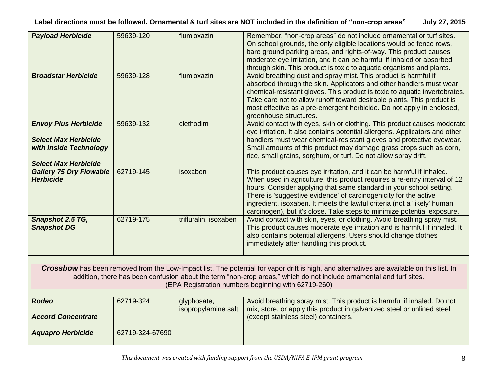| <b>Payload Herbicide</b>                                                                                                                                                                                                                                                                                                 | 59639-120       | flumioxazin           | Remember, "non-crop areas" do not include ornamental or turf sites.<br>On school grounds, the only eligible locations would be fence rows,<br>bare ground parking areas, and rights-of-way. This product causes<br>moderate eye irritation, and it can be harmful if inhaled or absorbed<br>through skin. This product is toxic to aquatic organisms and plants.                                                                                     |  |
|--------------------------------------------------------------------------------------------------------------------------------------------------------------------------------------------------------------------------------------------------------------------------------------------------------------------------|-----------------|-----------------------|------------------------------------------------------------------------------------------------------------------------------------------------------------------------------------------------------------------------------------------------------------------------------------------------------------------------------------------------------------------------------------------------------------------------------------------------------|--|
| <b>Broadstar Herbicide</b>                                                                                                                                                                                                                                                                                               | 59639-128       | flumioxazin           | Avoid breathing dust and spray mist. This product is harmful if<br>absorbed through the skin. Applicators and other handlers must wear<br>chemical-resistant gloves. This product is toxic to aquatic invertebrates.<br>Take care not to allow runoff toward desirable plants. This product is<br>most effective as a pre-emergent herbicide. Do not apply in enclosed,<br>greenhouse structures.                                                    |  |
| <b>Envoy Plus Herbicide</b><br><b>Select Max Herbicide</b><br>with Inside Technology<br><b>Select Max Herbicide</b>                                                                                                                                                                                                      | 59639-132       | clethodim             | Avoid contact with eyes, skin or clothing. This product causes moderate<br>eye irritation. It also contains potential allergens. Applicators and other<br>handlers must wear chemical-resistant gloves and protective eyewear.<br>Small amounts of this product may damage grass crops such as corn,<br>rice, small grains, sorghum, or turf. Do not allow spray drift.                                                                              |  |
| <b>Gallery 75 Dry Flowable</b><br><b>Herbicide</b>                                                                                                                                                                                                                                                                       | 62719-145       | isoxaben              | This product causes eye irritation, and it can be harmful if inhaled.<br>When used in agriculture, this product requires a re-entry interval of 12<br>hours. Consider applying that same standard in your school setting.<br>There is 'suggestive evidence' of carcinogenicity for the active<br>ingredient, isoxaben. It meets the lawful criteria (not a 'likely' human<br>carcinogen), but it's close. Take steps to minimize potential exposure. |  |
| Snapshot 2.5 TG,<br><b>Snapshot DG</b>                                                                                                                                                                                                                                                                                   | 62719-175       | trifluralin, isoxaben | Avoid contact with skin, eyes, or clothing. Avoid breathing spray mist.<br>This product causes moderate eye irritation and is harmful if inhaled. It<br>also contains potential allergens. Users should change clothes<br>immediately after handling this product.                                                                                                                                                                                   |  |
| Crossbow has been removed from the Low-Impact list. The potential for vapor drift is high, and alternatives are available on this list. In<br>addition, there has been confusion about the term "non-crop areas," which do not include ornamental and turf sites.<br>(EPA Registration numbers beginning with 62719-260) |                 |                       |                                                                                                                                                                                                                                                                                                                                                                                                                                                      |  |
| <b>Rodeo</b>                                                                                                                                                                                                                                                                                                             | 62719-324       | glyphosate,           | Avoid breathing spray mist. This product is harmful if inhaled. Do not                                                                                                                                                                                                                                                                                                                                                                               |  |
| <b>Accord Concentrate</b>                                                                                                                                                                                                                                                                                                |                 | isopropylamine salt   | mix, store, or apply this product in galvanized steel or unlined steel<br>(except stainless steel) containers.                                                                                                                                                                                                                                                                                                                                       |  |
| <b>Aquapro Herbicide</b>                                                                                                                                                                                                                                                                                                 | 62719-324-67690 |                       |                                                                                                                                                                                                                                                                                                                                                                                                                                                      |  |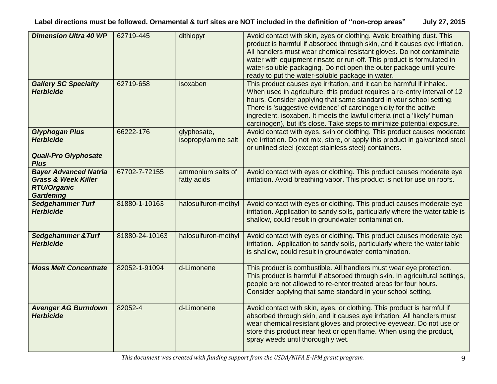| <b>Dimension Ultra 40 WP</b>                                                                             | 62719-445      | dithiopyr                          | Avoid contact with skin, eyes or clothing. Avoid breathing dust. This<br>product is harmful if absorbed through skin, and it causes eye irritation.<br>All handlers must wear chemical resistant gloves. Do not contaminate<br>water with equipment rinsate or run-off. This product is formulated in<br>water-soluble packaging. Do not open the outer package until you're<br>ready to put the water-soluble package in water.                     |
|----------------------------------------------------------------------------------------------------------|----------------|------------------------------------|------------------------------------------------------------------------------------------------------------------------------------------------------------------------------------------------------------------------------------------------------------------------------------------------------------------------------------------------------------------------------------------------------------------------------------------------------|
| <b>Gallery SC Specialty</b><br><b>Herbicide</b>                                                          | 62719-658      | isoxaben                           | This product causes eye irritation, and it can be harmful if inhaled.<br>When used in agriculture, this product requires a re-entry interval of 12<br>hours. Consider applying that same standard in your school setting.<br>There is 'suggestive evidence' of carcinogenicity for the active<br>ingredient, isoxaben. It meets the lawful criteria (not a 'likely' human<br>carcinogen), but it's close. Take steps to minimize potential exposure. |
| <b>Glyphogan Plus</b><br><b>Herbicide</b><br><b>Quali-Pro Glyphosate</b><br><b>Plus</b>                  | 66222-176      | glyphosate,<br>isopropylamine salt | Avoid contact with eyes, skin or clothing. This product causes moderate<br>eye irritation. Do not mix, store, or apply this product in galvanized steel<br>or unlined steel (except stainless steel) containers.                                                                                                                                                                                                                                     |
| <b>Bayer Advanced Natria</b><br><b>Grass &amp; Week Killer</b><br><b>RTU/Organic</b><br><b>Gardening</b> | 67702-7-72155  | ammonium salts of<br>fatty acids   | Avoid contact with eyes or clothing. This product causes moderate eye<br>irritation. Avoid breathing vapor. This product is not for use on roofs.                                                                                                                                                                                                                                                                                                    |
| <b>Sedgehammer Turf</b><br><b>Herbicide</b>                                                              | 81880-1-10163  | halosulfuron-methyl                | Avoid contact with eyes or clothing. This product causes moderate eye<br>irritation. Application to sandy soils, particularly where the water table is<br>shallow, could result in groundwater contamination.                                                                                                                                                                                                                                        |
| <b>Sedgehammer &amp; Turf</b><br><b>Herbicide</b>                                                        | 81880-24-10163 | halosulfuron-methyl                | Avoid contact with eyes or clothing. This product causes moderate eye<br>irritation. Application to sandy soils, particularly where the water table<br>is shallow, could result in groundwater contamination.                                                                                                                                                                                                                                        |
| <b>Moss Melt Concentrate</b>                                                                             | 82052-1-91094  | d-Limonene                         | This product is combustible. All handlers must wear eye protection.<br>This product is harmful if absorbed through skin. In agricultural settings,<br>people are not allowed to re-enter treated areas for four hours.<br>Consider applying that same standard in your school setting.                                                                                                                                                               |
| <b>Avenger AG Burndown</b><br><b>Herbicide</b>                                                           | 82052-4        | d-Limonene                         | Avoid contact with skin, eyes, or clothing. This product is harmful if<br>absorbed through skin, and it causes eye irritation. All handlers must<br>wear chemical resistant gloves and protective eyewear. Do not use or<br>store this product near heat or open flame. When using the product,<br>spray weeds until thoroughly wet.                                                                                                                 |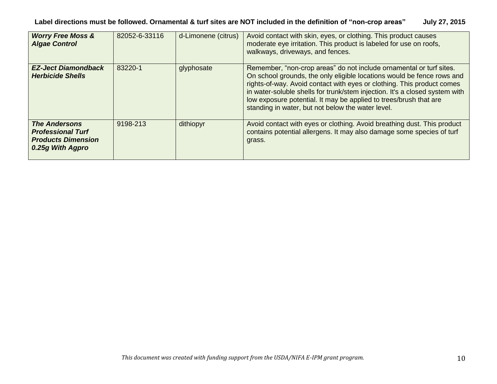| <b>Worry Free Moss &amp;</b><br><b>Algae Control</b>                                              | 82052-6-33116 | d-Limonene (citrus) | Avoid contact with skin, eyes, or clothing. This product causes<br>moderate eye irritation. This product is labeled for use on roofs,<br>walkways, driveways, and fences.                                                                                                                                                                                                                                                        |
|---------------------------------------------------------------------------------------------------|---------------|---------------------|----------------------------------------------------------------------------------------------------------------------------------------------------------------------------------------------------------------------------------------------------------------------------------------------------------------------------------------------------------------------------------------------------------------------------------|
| <b>EZ-Ject Diamondback</b><br><b>Herbicide Shells</b>                                             | 83220-1       | glyphosate          | Remember, "non-crop areas" do not include ornamental or turf sites.<br>On school grounds, the only eligible locations would be fence rows and<br>rights-of-way. Avoid contact with eyes or clothing. This product comes<br>in water-soluble shells for trunk/stem injection. It's a closed system with<br>low exposure potential. It may be applied to trees/brush that are<br>standing in water, but not below the water level. |
| <b>The Andersons</b><br><b>Professional Turf</b><br><b>Products Dimension</b><br>0.25g With Agpro | 9198-213      | dithiopyr           | Avoid contact with eyes or clothing. Avoid breathing dust. This product<br>contains potential allergens. It may also damage some species of turf<br>grass.                                                                                                                                                                                                                                                                       |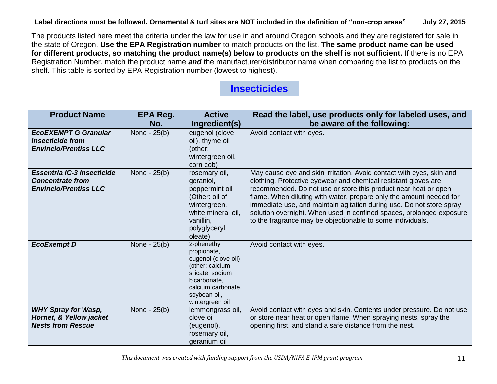#### **Label directions must be followed. Ornamental & turf sites are NOT included in the definition of "non-crop areas" July 27, 2015**

The products listed here meet the criteria under the law for use in and around Oregon schools and they are registered for sale in the state of Oregon. **Use the EPA Registration number** to match products on the list. **The same product name can be used for different products, so matching the product name(s) below to products on the shelf is not sufficient.** If there is no EPA Registration Number, match the product name *and* the manufacturer/distributor name when comparing the list to products on the shelf. This table is sorted by EPA Registration number (lowest to highest).

### **Insecticides**

| <b>Product Name</b>                                                                          | EPA Reg.<br>No. | <b>Active</b><br>Ingredient(s)                                                                                                                                    | Read the label, use products only for labeled uses, and<br>be aware of the following:                                                                                                                                                                                                                                                                                                                                                                                                          |
|----------------------------------------------------------------------------------------------|-----------------|-------------------------------------------------------------------------------------------------------------------------------------------------------------------|------------------------------------------------------------------------------------------------------------------------------------------------------------------------------------------------------------------------------------------------------------------------------------------------------------------------------------------------------------------------------------------------------------------------------------------------------------------------------------------------|
| <b>EcoEXEMPT G Granular</b><br><b>Insecticide from</b><br><b>Envincio/Prentiss LLC</b>       | None - 25(b)    | eugenol (clove<br>oil), thyme oil<br>(other:<br>wintergreen oil,<br>corn cob)                                                                                     | Avoid contact with eyes.                                                                                                                                                                                                                                                                                                                                                                                                                                                                       |
| <b>Essentria IC-3 Insecticide</b><br><b>Concentrate from</b><br><b>Envincio/Prentiss LLC</b> | None - 25(b)    | rosemary oil,<br>geraniol,<br>peppermint oil<br>(Other: oil of<br>wintergreen,<br>white mineral oil,<br>vanillin,<br>polyglyceryl<br>oleate)                      | May cause eye and skin irritation. Avoid contact with eyes, skin and<br>clothing. Protective eyewear and chemical resistant gloves are<br>recommended. Do not use or store this product near heat or open<br>flame. When diluting with water, prepare only the amount needed for<br>immediate use, and maintain agitation during use. Do not store spray<br>solution overnight. When used in confined spaces, prolonged exposure<br>to the fragrance may be objectionable to some individuals. |
| <b>EcoExempt D</b>                                                                           | None - 25(b)    | 2-phenethyl<br>propionate,<br>eugenol (clove oil)<br>(other: calcium<br>silicate, sodium<br>bicarbonate,<br>calcium carbonate.<br>soybean oil,<br>wintergreen oil | Avoid contact with eyes.                                                                                                                                                                                                                                                                                                                                                                                                                                                                       |
| <b>WHY Spray for Wasp,</b><br>Hornet, & Yellow jacket<br><b>Nests from Rescue</b>            | None - 25(b)    | lemmongrass oil,<br>clove oil<br>(eugenol),<br>rosemary oil,<br>geranium oil                                                                                      | Avoid contact with eyes and skin. Contents under pressure. Do not use<br>or store near heat or open flame. When spraying nests, spray the<br>opening first, and stand a safe distance from the nest.                                                                                                                                                                                                                                                                                           |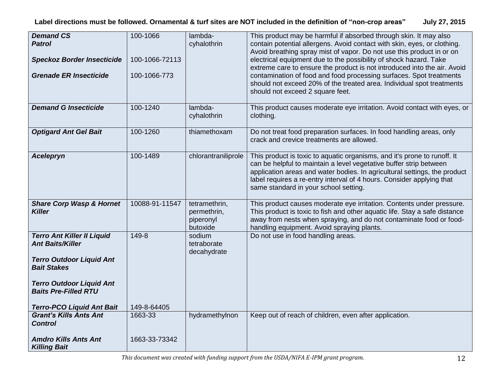| <b>Demand CS</b><br><b>Patrol</b><br><b>Speckoz Border Insecticide</b><br><b>Grenade ER Insecticide</b>                                                                                 | 100-1066<br>100-1066-72113<br>100-1066-773 | lambda-<br>cyhalothrin                                | This product may be harmful if absorbed through skin. It may also<br>contain potential allergens. Avoid contact with skin, eyes, or clothing.<br>Avoid breathing spray mist of vapor. Do not use this product in or on<br>electrical equipment due to the possibility of shock hazard. Take<br>extreme care to ensure the product is not introduced into the air. Avoid<br>contamination of food and food processing surfaces. Spot treatments<br>should not exceed 20% of the treated area. Individual spot treatments<br>should not exceed 2 square feet. |
|-----------------------------------------------------------------------------------------------------------------------------------------------------------------------------------------|--------------------------------------------|-------------------------------------------------------|-------------------------------------------------------------------------------------------------------------------------------------------------------------------------------------------------------------------------------------------------------------------------------------------------------------------------------------------------------------------------------------------------------------------------------------------------------------------------------------------------------------------------------------------------------------|
| <b>Demand G Insecticide</b>                                                                                                                                                             | 100-1240                                   | lambda-<br>cyhalothrin                                | This product causes moderate eye irritation. Avoid contact with eyes, or<br>clothing.                                                                                                                                                                                                                                                                                                                                                                                                                                                                       |
| <b>Optigard Ant Gel Bait</b>                                                                                                                                                            | 100-1260                                   | thiamethoxam                                          | Do not treat food preparation surfaces. In food handling areas, only<br>crack and crevice treatments are allowed.                                                                                                                                                                                                                                                                                                                                                                                                                                           |
| <b>Acelepryn</b>                                                                                                                                                                        | 100-1489                                   | chlorantraniliprole                                   | This product is toxic to aquatic organisms, and it's prone to runoff. It<br>can be helpful to maintain a level vegetative buffer strip between<br>application areas and water bodies. In agricultural settings, the product<br>label requires a re-entry interval of 4 hours. Consider applying that<br>same standard in your school setting.                                                                                                                                                                                                               |
| <b>Share Corp Wasp &amp; Hornet</b><br><b>Killer</b>                                                                                                                                    | 10088-91-11547                             | tetramethrin,<br>permethrin,<br>piperonyl<br>butoxide | This product causes moderate eye irritation. Contents under pressure.<br>This product is toxic to fish and other aquatic life. Stay a safe distance<br>away from nests when spraying, and do not contaminate food or food-<br>handling equipment. Avoid spraying plants.                                                                                                                                                                                                                                                                                    |
| <b>Terro Ant Killer II Liquid</b><br><b>Ant Baits/Killer</b><br><b>Terro Outdoor Liquid Ant</b><br><b>Bait Stakes</b><br><b>Terro Outdoor Liquid Ant</b><br><b>Baits Pre-Filled RTU</b> | 149-8                                      | sodium<br>tetraborate<br>decahydrate                  | Do not use in food handling areas.                                                                                                                                                                                                                                                                                                                                                                                                                                                                                                                          |
| <b>Terro-PCO Liquid Ant Bait</b>                                                                                                                                                        | 149-8-64405                                |                                                       |                                                                                                                                                                                                                                                                                                                                                                                                                                                                                                                                                             |
| <b>Grant's Kills Ants Ant</b><br><b>Control</b>                                                                                                                                         | 1663-33                                    | hydramethylnon                                        | Keep out of reach of children, even after application.                                                                                                                                                                                                                                                                                                                                                                                                                                                                                                      |
| <b>Amdro Kills Ants Ant</b><br><b>Killing Bait</b>                                                                                                                                      | 1663-33-73342                              |                                                       |                                                                                                                                                                                                                                                                                                                                                                                                                                                                                                                                                             |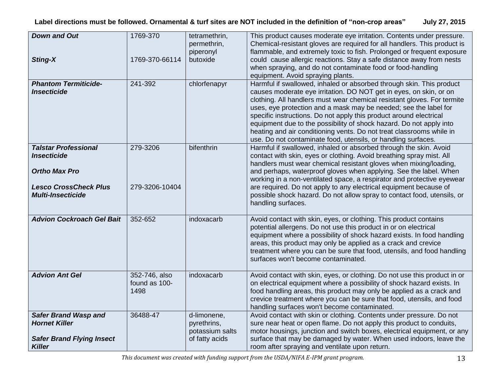| <b>Down and Out</b><br><b>Sting-X</b>                                                                    | 1769-370<br>1769-370-66114             | tetramethrin,<br>permethrin,<br>piperonyl<br>butoxide           | This product causes moderate eye irritation. Contents under pressure.<br>Chemical-resistant gloves are required for all handlers. This product is<br>flammable, and extremely toxic to fish. Prolonged or frequent exposure<br>could cause allergic reactions. Stay a safe distance away from nests<br>when spraying, and do not contaminate food or food-handling<br>equipment. Avoid spraying plants.                                                                                                                                                                         |
|----------------------------------------------------------------------------------------------------------|----------------------------------------|-----------------------------------------------------------------|---------------------------------------------------------------------------------------------------------------------------------------------------------------------------------------------------------------------------------------------------------------------------------------------------------------------------------------------------------------------------------------------------------------------------------------------------------------------------------------------------------------------------------------------------------------------------------|
| <b>Phantom Termiticide-</b><br><b>Insecticide</b>                                                        | 241-392                                | chlorfenapyr                                                    | Harmful if swallowed, inhaled or absorbed through skin. This product<br>causes moderate eye irritation. DO NOT get in eyes, on skin, or on<br>clothing. All handlers must wear chemical resistant gloves. For termite<br>uses, eye protection and a mask may be needed; see the label for<br>specific instructions. Do not apply this product around electrical<br>equipment due to the possibility of shock hazard. Do not apply into<br>heating and air conditioning vents. Do not treat classrooms while in<br>use. Do not contaminate food, utensils, or handling surfaces. |
| <b>Talstar Professional</b><br><b>Insecticide</b><br><b>Ortho Max Pro</b>                                | 279-3206                               | bifenthrin                                                      | Harmful if swallowed, inhaled or absorbed through the skin. Avoid<br>contact with skin, eyes or clothing. Avoid breathing spray mist. All<br>handlers must wear chemical resistant gloves when mixing/loading,<br>and perhaps, waterproof gloves when applying. See the label. When<br>working in a non-ventilated space, a respirator and protective eyewear                                                                                                                                                                                                                   |
| <b>Lesco CrossCheck Plus</b><br><b>Multi-Insecticide</b>                                                 | 279-3206-10404                         |                                                                 | are required. Do not apply to any electrical equipment because of<br>possible shock hazard. Do not allow spray to contact food, utensils, or<br>handling surfaces.                                                                                                                                                                                                                                                                                                                                                                                                              |
| <b>Advion Cockroach Gel Bait</b>                                                                         | 352-652                                | indoxacarb                                                      | Avoid contact with skin, eyes, or clothing. This product contains<br>potential allergens. Do not use this product in or on electrical<br>equipment where a possibility of shock hazard exists. In food handling<br>areas, this product may only be applied as a crack and crevice<br>treatment where you can be sure that food, utensils, and food handling<br>surfaces won't become contaminated.                                                                                                                                                                              |
| <b>Advion Ant Gel</b>                                                                                    | 352-746, also<br>found as 100-<br>1498 | indoxacarb                                                      | Avoid contact with skin, eyes, or clothing. Do not use this product in or<br>on electrical equipment where a possibility of shock hazard exists. In<br>food handling areas, this product may only be applied as a crack and<br>crevice treatment where you can be sure that food, utensils, and food<br>handling surfaces won't become contaminated.                                                                                                                                                                                                                            |
| <b>Safer Brand Wasp and</b><br><b>Hornet Killer</b><br><b>Safer Brand Flying Insect</b><br><b>Killer</b> | 36488-47                               | d-limonene,<br>pyrethrins,<br>potassium salts<br>of fatty acids | Avoid contact with skin or clothing. Contents under pressure. Do not<br>sure near heat or open flame. Do not apply this product to conduits,<br>motor housings, junction and switch boxes, electrical equipment, or any<br>surface that may be damaged by water. When used indoors, leave the<br>room after spraying and ventilate upon return.                                                                                                                                                                                                                                 |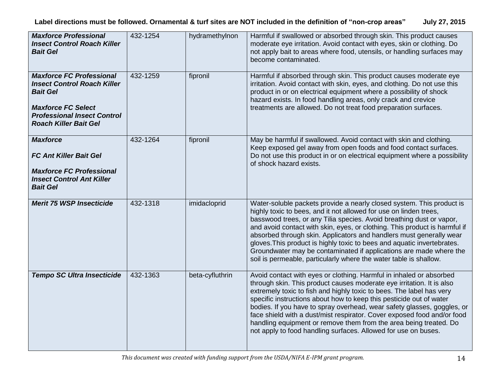| <b>Maxforce Professional</b><br><b>Insect Control Roach Killer</b><br><b>Bait Gel</b>                                                                                                       | 432-1254 | hydramethylnon  | Harmful if swallowed or absorbed through skin. This product causes<br>moderate eye irritation. Avoid contact with eyes, skin or clothing. Do<br>not apply bait to areas where food, utensils, or handling surfaces may<br>become contaminated.                                                                                                                                                                                                                                                                                                                                                |
|---------------------------------------------------------------------------------------------------------------------------------------------------------------------------------------------|----------|-----------------|-----------------------------------------------------------------------------------------------------------------------------------------------------------------------------------------------------------------------------------------------------------------------------------------------------------------------------------------------------------------------------------------------------------------------------------------------------------------------------------------------------------------------------------------------------------------------------------------------|
| <b>Maxforce FC Professional</b><br><b>Insect Control Roach Killer</b><br><b>Bait Gel</b><br><b>Maxforce FC Select</b><br><b>Professional Insect Control</b><br><b>Roach Killer Bait Gel</b> | 432-1259 | fipronil        | Harmful if absorbed through skin. This product causes moderate eye<br>irritation. Avoid contact with skin, eyes, and clothing. Do not use this<br>product in or on electrical equipment where a possibility of shock<br>hazard exists. In food handling areas, only crack and crevice<br>treatments are allowed. Do not treat food preparation surfaces.                                                                                                                                                                                                                                      |
| <b>Maxforce</b><br><b>FC Ant Killer Bait Gel</b><br><b>Maxforce FC Professional</b><br><b>Insect Control Ant Killer</b><br><b>Bait Gel</b>                                                  | 432-1264 | fipronil        | May be harmful if swallowed. Avoid contact with skin and clothing.<br>Keep exposed gel away from open foods and food contact surfaces.<br>Do not use this product in or on electrical equipment where a possibility<br>of shock hazard exists.                                                                                                                                                                                                                                                                                                                                                |
| <b>Merit 75 WSP Insecticide</b>                                                                                                                                                             | 432-1318 | imidacloprid    | Water-soluble packets provide a nearly closed system. This product is<br>highly toxic to bees, and it not allowed for use on linden trees,<br>basswood trees, or any Tilia species. Avoid breathing dust or vapor,<br>and avoid contact with skin, eyes, or clothing. This product is harmful if<br>absorbed through skin. Applicators and handlers must generally wear<br>gloves. This product is highly toxic to bees and aquatic invertebrates.<br>Groundwater may be contaminated if applications are made where the<br>soil is permeable, particularly where the water table is shallow. |
| <b>Tempo SC Ultra Insecticide</b>                                                                                                                                                           | 432-1363 | beta-cyfluthrin | Avoid contact with eyes or clothing. Harmful in inhaled or absorbed<br>through skin. This product causes moderate eye irritation. It is also<br>extremely toxic to fish and highly toxic to bees. The label has very<br>specific instructions about how to keep this pesticide out of water<br>bodies. If you have to spray overhead, wear safety glasses, goggles, or<br>face shield with a dust/mist respirator. Cover exposed food and/or food<br>handling equipment or remove them from the area being treated. Do<br>not apply to food handling surfaces. Allowed for use on buses.      |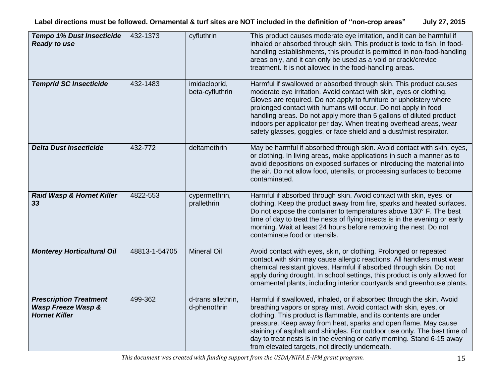| <b>Tempo 1% Dust Insecticide</b><br><b>Ready to use</b>                     | 432-1373      | cyfluthrin                         | This product causes moderate eye irritation, and it can be harmful if<br>inhaled or absorbed through skin. This product is toxic to fish. In food-<br>handling establishments, this proudct is permitted in non-food-handling<br>areas only, and it can only be used as a void or crack/crevice                                                                                                                                                                                                       |
|-----------------------------------------------------------------------------|---------------|------------------------------------|-------------------------------------------------------------------------------------------------------------------------------------------------------------------------------------------------------------------------------------------------------------------------------------------------------------------------------------------------------------------------------------------------------------------------------------------------------------------------------------------------------|
|                                                                             |               |                                    | treatment. It is not allowed in the food-handling areas.                                                                                                                                                                                                                                                                                                                                                                                                                                              |
| <b>Temprid SC Insecticide</b>                                               | 432-1483      | imidacloprid,<br>beta-cyfluthrin   | Harmful if swallowed or absorbed through skin. This product causes<br>moderate eye irritation. Avoid contact with skin, eyes or clothing.<br>Gloves are required. Do not apply to furniture or upholstery where<br>prolonged contact with humans will occur. Do not apply in food<br>handling areas. Do not apply more than 5 gallons of diluted product<br>indoors per applicator per day. When treating overhead areas, wear<br>safety glasses, goggles, or face shield and a dust/mist respirator. |
| <b>Delta Dust Insecticide</b>                                               | 432-772       | deltamethrin                       | May be harmful if absorbed through skin. Avoid contact with skin, eyes,<br>or clothing. In living areas, make applications in such a manner as to<br>avoid depositions on exposed surfaces or introducing the material into<br>the air. Do not allow food, utensils, or processing surfaces to become<br>contaminated.                                                                                                                                                                                |
| Raid Wasp & Hornet Killer<br>33                                             | 4822-553      | cypermethrin,<br>prallethrin       | Harmful if absorbed through skin. Avoid contact with skin, eyes, or<br>clothing. Keep the product away from fire, sparks and heated surfaces.<br>Do not expose the container to temperatures above 130° F. The best<br>time of day to treat the nests of flying insects is in the evening or early<br>morning. Wait at least 24 hours before removing the nest. Do not<br>contaminate food or utensils.                                                                                               |
| <b>Monterey Horticultural Oil</b>                                           | 48813-1-54705 | <b>Mineral Oil</b>                 | Avoid contact with eyes, skin, or clothing. Prolonged or repeated<br>contact with skin may cause allergic reactions. All handlers must wear<br>chemical resistant gloves. Harmful if absorbed through skin. Do not<br>apply during drought. In school settings, this product is only allowed for<br>ornamental plants, including interior courtyards and greenhouse plants.                                                                                                                           |
| <b>Prescription Treatment</b><br>Wasp Freeze Wasp &<br><b>Hornet Killer</b> | 499-362       | d-trans allethrin,<br>d-phenothrin | Harmful if swallowed, inhaled, or if absorbed through the skin. Avoid<br>breathing vapors or spray mist. Avoid contact with skin, eyes, or<br>clothing. This product is flammable, and its contents are under<br>pressure. Keep away from heat, sparks and open flame. May cause<br>staining of asphalt and shingles. For outdoor use only. The best time of<br>day to treat nests is in the evening or early morning. Stand 6-15 away<br>from elevated targets, not directly underneath.             |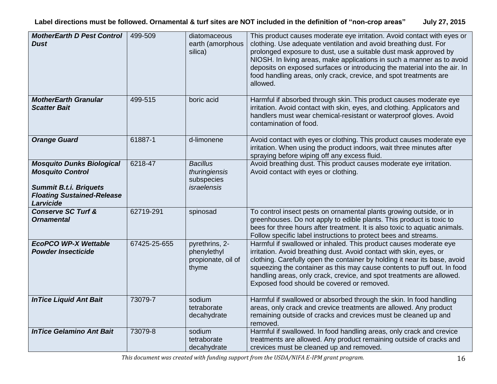**Label directions must be followed. Ornamental & turf sites are NOT included in the definition of "non-crop areas" July 27, 2015**

| <b>MotherEarth D Pest Control</b><br>Dust                                                                                                      | 499-509      | diatomaceous<br>earth (amorphous<br>silica)                          | This product causes moderate eye irritation. Avoid contact with eyes or<br>clothing. Use adequate ventilation and avoid breathing dust. For<br>prolonged exposure to dust, use a suitable dust mask approved by<br>NIOSH. In living areas, make applications in such a manner as to avoid<br>deposits on exposed surfaces or introducing the material into the air. In<br>food handling areas, only crack, crevice, and spot treatments are<br>allowed. |
|------------------------------------------------------------------------------------------------------------------------------------------------|--------------|----------------------------------------------------------------------|---------------------------------------------------------------------------------------------------------------------------------------------------------------------------------------------------------------------------------------------------------------------------------------------------------------------------------------------------------------------------------------------------------------------------------------------------------|
| <b>MotherEarth Granular</b><br><b>Scatter Bait</b>                                                                                             | 499-515      | boric acid                                                           | Harmful if absorbed through skin. This product causes moderate eye<br>irritation. Avoid contact with skin, eyes, and clothing. Applicators and<br>handlers must wear chemical-resistant or waterproof gloves. Avoid<br>contamination of food.                                                                                                                                                                                                           |
| <b>Orange Guard</b>                                                                                                                            | 61887-1      | d-limonene                                                           | Avoid contact with eyes or clothing. This product causes moderate eye<br>irritation. When using the product indoors, wait three minutes after<br>spraying before wiping off any excess fluid.                                                                                                                                                                                                                                                           |
| <b>Mosquito Dunks Biological</b><br><b>Mosquito Control</b><br><b>Summit B.t.i. Briquets</b><br><b>Floating Sustained-Release</b><br>Larvicide | 6218-47      | <b>Bacillus</b><br>thuringiensis<br>subspecies<br><i>israelensis</i> | Avoid breathing dust. This product causes moderate eye irritation.<br>Avoid contact with eyes or clothing.                                                                                                                                                                                                                                                                                                                                              |
| <b>Conserve SC Turf &amp;</b><br><b>Ornamental</b>                                                                                             | 62719-291    | spinosad                                                             | To control insect pests on ornamental plants growing outside, or in<br>greenhouses. Do not apply to edible plants. This product is toxic to<br>bees for three hours after treatment. It is also toxic to aquatic animals.<br>Follow specific label instructions to protect bees and streams.                                                                                                                                                            |
| <b>EcoPCO WP-X Wettable</b><br><b>Powder Insecticide</b>                                                                                       | 67425-25-655 | pyrethrins, 2-<br>phenylethyl<br>propionate, oil of<br>thyme         | Harmful if swallowed or inhaled. This product causes moderate eye<br>irritation. Avoid breathing dust. Avoid contact with skin, eyes, or<br>clothing. Carefully open the container by holding it near its base, avoid<br>squeezing the container as this may cause contents to puff out. In food<br>handling areas, only crack, crevice, and spot treatments are allowed.<br>Exposed food should be covered or removed.                                 |
| <b>InTice Liquid Ant Bait</b>                                                                                                                  | 73079-7      | sodium<br>tetraborate<br>decahydrate                                 | Harmful if swallowed or absorbed through the skin. In food handling<br>areas, only crack and crevice treatments are allowed. Any product<br>remaining outside of cracks and crevices must be cleaned up and<br>removed.                                                                                                                                                                                                                                 |
| <b>InTice Gelamino Ant Bait</b>                                                                                                                | 73079-8      | sodium<br>tetraborate<br>decahydrate                                 | Harmful if swallowed. In food handling areas, only crack and crevice<br>treatments are allowed. Any product remaining outside of cracks and<br>crevices must be cleaned up and removed.                                                                                                                                                                                                                                                                 |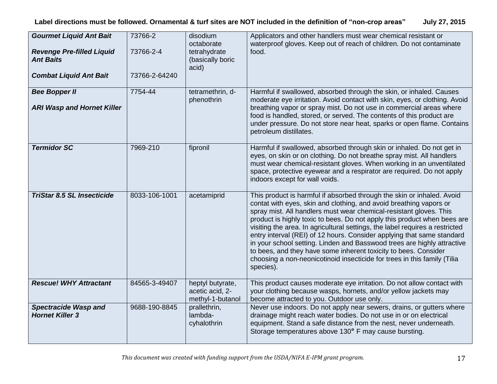| <b>Gourmet Liquid Ant Bait</b><br><b>Revenge Pre-filled Liquid</b><br><b>Ant Baits</b><br><b>Combat Liquid Ant Bait</b> | 73766-2<br>73766-2-4<br>73766-2-64240 | disodium<br>octaborate<br>tetrahydrate<br>(basically boric<br>acid) | Applicators and other handlers must wear chemical resistant or<br>waterproof gloves. Keep out of reach of children. Do not contaminate<br>food.                                                                                                                                                                                                                                                                                                                                                                                                                                                                                                                                                 |
|-------------------------------------------------------------------------------------------------------------------------|---------------------------------------|---------------------------------------------------------------------|-------------------------------------------------------------------------------------------------------------------------------------------------------------------------------------------------------------------------------------------------------------------------------------------------------------------------------------------------------------------------------------------------------------------------------------------------------------------------------------------------------------------------------------------------------------------------------------------------------------------------------------------------------------------------------------------------|
| <b>Bee Bopper II</b><br><b>ARI Wasp and Hornet Killer</b>                                                               | 7754-44                               | tetramethrin, d-<br>phenothrin                                      | Harmful if swallowed, absorbed through the skin, or inhaled. Causes<br>moderate eye irritation. Avoid contact with skin, eyes, or clothing. Avoid<br>breathing vapor or spray mist. Do not use in commercial areas where<br>food is handled, stored, or served. The contents of this product are<br>under pressure. Do not store near heat, sparks or open flame. Contains<br>petroleum distillates.                                                                                                                                                                                                                                                                                            |
| <b>Termidor SC</b>                                                                                                      | 7969-210                              | fipronil                                                            | Harmful if swallowed, absorbed through skin or inhaled. Do not get in<br>eyes, on skin or on clothing. Do not breathe spray mist. All handlers<br>must wear chemical-resistant gloves. When working in an unventilated<br>space, protective eyewear and a respirator are required. Do not apply<br>indoors except for wall voids.                                                                                                                                                                                                                                                                                                                                                               |
| <b>TriStar 8.5 SL Insecticide</b>                                                                                       | 8033-106-1001                         | acetamiprid                                                         | This product is harmful if absorbed through the skin or inhaled. Avoid<br>contat with eyes, skin and clothing, and avoid breathing vapors or<br>spray mist. All handlers must wear chemical-resistant gloves. This<br>product is highly toxic to bees. Do not apply this product when bees are<br>visiting the area. In agricultural settings, the label requires a restricted<br>entry interval (REI) of 12 hours. Consider applying that same standard<br>in your school setting. Linden and Basswood trees are highly attractive<br>to bees, and they have some inherent toxicity to bees. Consider<br>choosing a non-neonicotinoid insecticide for trees in this family (Tilia<br>species). |
| <b>Rescue! WHY Attractant</b>                                                                                           | 84565-3-49407                         | heptyl butyrate,<br>acetic acid, 2-<br>methyl-1-butanol             | This product causes moderate eye irritation. Do not allow contact with<br>your clothing because wasps, hornets, and/or yellow jackets may<br>become attracted to you. Outdoor use only.                                                                                                                                                                                                                                                                                                                                                                                                                                                                                                         |
| <b>Spectracide Wasp and</b><br><b>Hornet Killer 3</b>                                                                   | 9688-190-8845                         | prallethrin,<br>lambda-<br>cyhalothrin                              | Never use indoors. Do not apply near sewers, drains, or gutters where<br>drainage might reach water bodies. Do not use in or on electrical<br>equipment. Stand a safe distance from the nest, never underneath.<br>Storage temperatures above 130° F may cause bursting.                                                                                                                                                                                                                                                                                                                                                                                                                        |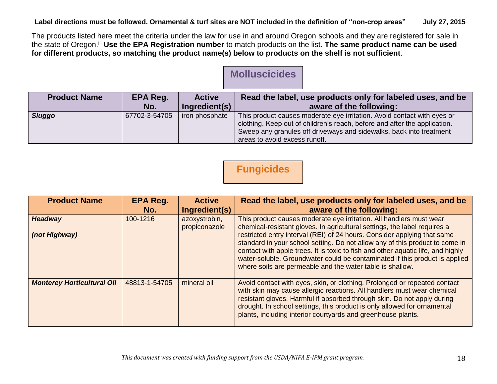The products listed here meet the criteria under the law for use in and around Oregon schools and they are registered for sale in the state of Oregon.iii **Use the EPA Registration number** to match products on the list. **The same product name can be used for different products, so matching the product name(s) below to products on the shelf is not sufficient**.

### **Molluscicides**

| <b>Product Name</b> | EPA Reg.      | <b>Active</b>  | Read the label, use products only for labeled uses, and be                |
|---------------------|---------------|----------------|---------------------------------------------------------------------------|
|                     | No.           | Ingredient(s)  | aware of the following:                                                   |
| <b>Sluggo</b>       | 67702-3-54705 | iron phosphate | This product causes moderate eye irritation. Avoid contact with eyes or   |
|                     |               |                | clothing. Keep out of children's reach, before and after the application. |
|                     |               |                | Sweep any granules off driveways and sidewalks, back into treatment       |
|                     |               |                | areas to avoid excess runoff.                                             |

# **Fungicides**

| <b>Product Name</b>               | EPA Reg.<br>No. | <b>Active</b><br>Ingredient(s) | Read the label, use products only for labeled uses, and be<br>aware of the following:                                                                                                                                                                                                                                                                                                                                                                                                                                                        |
|-----------------------------------|-----------------|--------------------------------|----------------------------------------------------------------------------------------------------------------------------------------------------------------------------------------------------------------------------------------------------------------------------------------------------------------------------------------------------------------------------------------------------------------------------------------------------------------------------------------------------------------------------------------------|
| <b>Headway</b><br>(not Highway)   | 100-1216        | azoxystrobin,<br>propiconazole | This product causes moderate eye irritation. All handlers must wear<br>chemical-resistant gloves. In agricultural settings, the label requires a<br>restricted entry interval (REI) of 24 hours. Consider applying that same<br>standard in your school setting. Do not allow any of this product to come in<br>contact with apple trees. It is toxic to fish and other aquatic life, and highly<br>water-soluble. Groundwater could be contaminated if this product is applied<br>where soils are permeable and the water table is shallow. |
| <b>Monterey Horticultural Oil</b> | 48813-1-54705   | mineral oil                    | Avoid contact with eyes, skin, or clothing. Prolonged or repeated contact<br>with skin may cause allergic reactions. All handlers must wear chemical<br>resistant gloves. Harmful if absorbed through skin. Do not apply during<br>drought. In school settings, this product is only allowed for ornamental<br>plants, including interior courtyards and greenhouse plants.                                                                                                                                                                  |